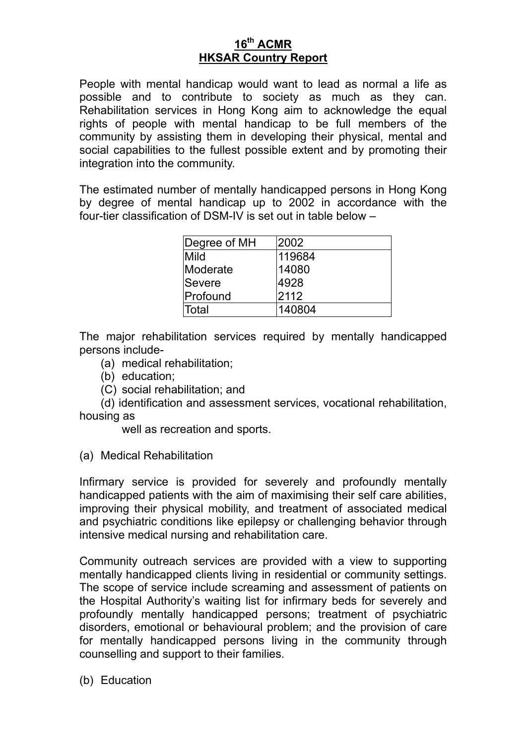# **16th ACMR HKSAR Country Report**

People with mental handicap would want to lead as normal a life as possible and to contribute to society as much as they can. Rehabilitation services in Hong Kong aim to acknowledge the equal rights of people with mental handicap to be full members of the community by assisting them in developing their physical, mental and social capabilities to the fullest possible extent and by promoting their integration into the community.

The estimated number of mentally handicapped persons in Hong Kong by degree of mental handicap up to 2002 in accordance with the four-tier classification of DSM-IV is set out in table below –

| Degree of MH | 2002   |
|--------------|--------|
| Mild         | 119684 |
| Moderate     | 14080  |
| Severe       | 4928   |
| Profound     | 2112   |
| <b>Total</b> | 140804 |

The major rehabilitation services required by mentally handicapped persons include-

- (a) medical rehabilitation;
- (b) education;
- (C) social rehabilitation; and

 (d) identification and assessment services, vocational rehabilitation, housing as

well as recreation and sports.

(a) Medical Rehabilitation

Infirmary service is provided for severely and profoundly mentally handicapped patients with the aim of maximising their self care abilities, improving their physical mobility, and treatment of associated medical and psychiatric conditions like epilepsy or challenging behavior through intensive medical nursing and rehabilitation care.

Community outreach services are provided with a view to supporting mentally handicapped clients living in residential or community settings. The scope of service include screaming and assessment of patients on the Hospital Authority's waiting list for infirmary beds for severely and profoundly mentally handicapped persons; treatment of psychiatric disorders, emotional or behavioural problem; and the provision of care for mentally handicapped persons living in the community through counselling and support to their families.

(b) Education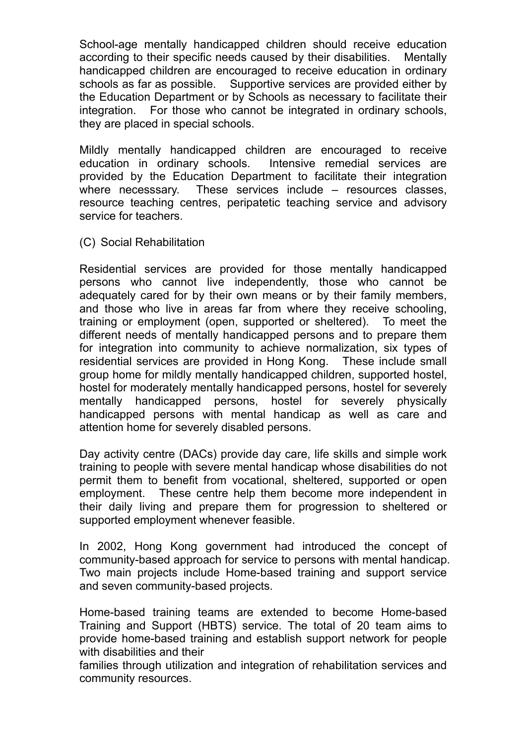School-age mentally handicapped children should receive education according to their specific needs caused by their disabilities. Mentally handicapped children are encouraged to receive education in ordinary schools as far as possible. Supportive services are provided either by the Education Department or by Schools as necessary to facilitate their integration. For those who cannot be integrated in ordinary schools, they are placed in special schools.

Mildly mentally handicapped children are encouraged to receive education in ordinary schools. Intensive remedial services are provided by the Education Department to facilitate their integration where necesssary. These services include – resources classes. resource teaching centres, peripatetic teaching service and advisory service for teachers.

(C) Social Rehabilitation

Residential services are provided for those mentally handicapped persons who cannot live independently, those who cannot be adequately cared for by their own means or by their family members, and those who live in areas far from where they receive schooling, training or employment (open, supported or sheltered). To meet the different needs of mentally handicapped persons and to prepare them for integration into community to achieve normalization, six types of residential services are provided in Hong Kong. These include small group home for mildly mentally handicapped children, supported hostel, hostel for moderately mentally handicapped persons, hostel for severely mentally handicapped persons, hostel for severely physically handicapped persons with mental handicap as well as care and attention home for severely disabled persons.

Day activity centre (DACs) provide day care, life skills and simple work training to people with severe mental handicap whose disabilities do not permit them to benefit from vocational, sheltered, supported or open employment. These centre help them become more independent in their daily living and prepare them for progression to sheltered or supported employment whenever feasible.

In 2002, Hong Kong government had introduced the concept of community-based approach for service to persons with mental handicap. Two main projects include Home-based training and support service and seven community-based projects.

Home-based training teams are extended to become Home-based Training and Support (HBTS) service. The total of 20 team aims to provide home-based training and establish support network for people with disabilities and their

families through utilization and integration of rehabilitation services and community resources.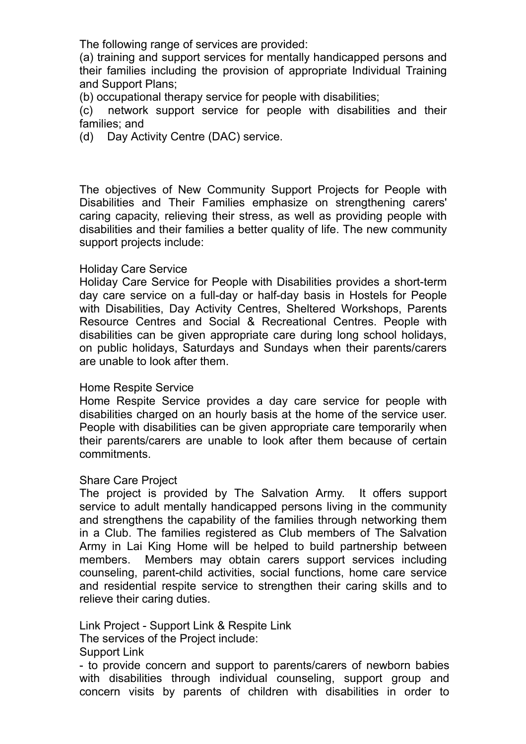The following range of services are provided:

(a) training and support services for mentally handicapped persons and their families including the provision of appropriate Individual Training and Support Plans;

(b) occupational therapy service for people with disabilities;

(c) network support service for people with disabilities and their families; and

(d) Day Activity Centre (DAC) service.

The objectives of New Community Support Projects for People with Disabilities and Their Families emphasize on strengthening carers' caring capacity, relieving their stress, as well as providing people with disabilities and their families a better quality of life. The new community support projects include:

## Holiday Care Service

Holiday Care Service for People with Disabilities provides a short-term day care service on a full-day or half-day basis in Hostels for People with Disabilities, Day Activity Centres, Sheltered Workshops, Parents Resource Centres and Social & Recreational Centres. People with disabilities can be given appropriate care during long school holidays, on public holidays, Saturdays and Sundays when their parents/carers are unable to look after them.

## Home Respite Service

Home Respite Service provides a day care service for people with disabilities charged on an hourly basis at the home of the service user. People with disabilities can be given appropriate care temporarily when their parents/carers are unable to look after them because of certain commitments.

#### Share Care Project

The project is provided by The Salvation Army. It offers support service to adult mentally handicapped persons living in the community and strengthens the capability of the families through networking them in a Club. The families registered as Club members of The Salvation Army in Lai King Home will be helped to build partnership between members. Members may obtain carers support services including counseling, parent-child activities, social functions, home care service and residential respite service to strengthen their caring skills and to relieve their caring duties.

Link Project - Support Link & Respite Link

The services of the Project include:

Support Link

- to provide concern and support to parents/carers of newborn babies with disabilities through individual counseling, support group and concern visits by parents of children with disabilities in order to